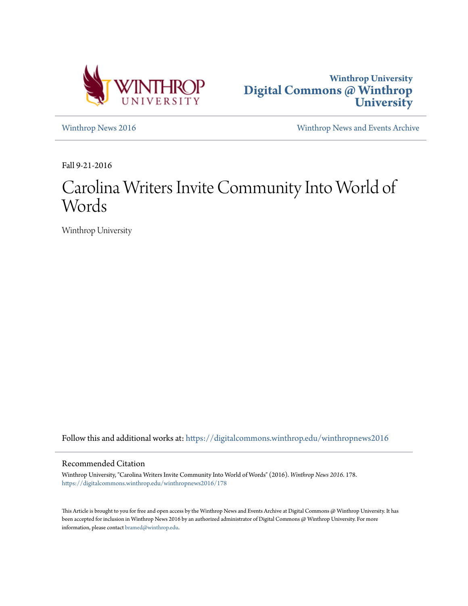



[Winthrop News 2016](https://digitalcommons.winthrop.edu/winthropnews2016?utm_source=digitalcommons.winthrop.edu%2Fwinthropnews2016%2F178&utm_medium=PDF&utm_campaign=PDFCoverPages) [Winthrop News and Events Archive](https://digitalcommons.winthrop.edu/winthropnewsarchives?utm_source=digitalcommons.winthrop.edu%2Fwinthropnews2016%2F178&utm_medium=PDF&utm_campaign=PDFCoverPages)

Fall 9-21-2016

# Carolina Writers Invite Community Into World of Words

Winthrop University

Follow this and additional works at: [https://digitalcommons.winthrop.edu/winthropnews2016](https://digitalcommons.winthrop.edu/winthropnews2016?utm_source=digitalcommons.winthrop.edu%2Fwinthropnews2016%2F178&utm_medium=PDF&utm_campaign=PDFCoverPages)

### Recommended Citation

Winthrop University, "Carolina Writers Invite Community Into World of Words" (2016). *Winthrop News 2016*. 178. [https://digitalcommons.winthrop.edu/winthropnews2016/178](https://digitalcommons.winthrop.edu/winthropnews2016/178?utm_source=digitalcommons.winthrop.edu%2Fwinthropnews2016%2F178&utm_medium=PDF&utm_campaign=PDFCoverPages)

This Article is brought to you for free and open access by the Winthrop News and Events Archive at Digital Commons @ Winthrop University. It has been accepted for inclusion in Winthrop News 2016 by an authorized administrator of Digital Commons @ Winthrop University. For more information, please contact [bramed@winthrop.edu](mailto:bramed@winthrop.edu).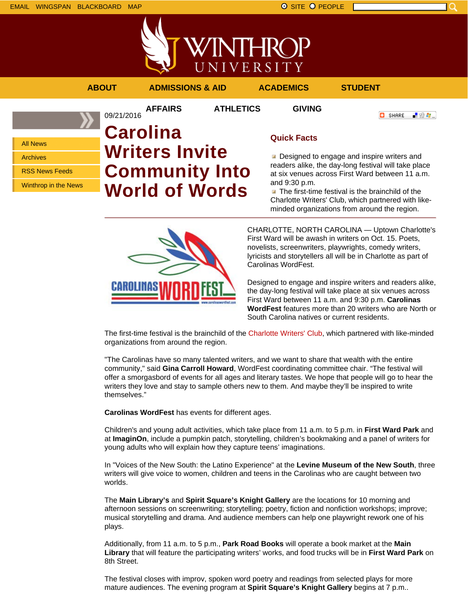

**AFFAIRS ATHLETICS GIVING**

「验費」 **O** SHARE

All News Archives RSS News Feeds

Winthrop in the News

## 09/21/2016 **Carolina Writers Invite Community Into World of Words**

## **Quick Facts**

Designed to engage and inspire writers and readers alike, the day-long festival will take place at six venues across First Ward between 11 a.m. and 9:30 p.m.

 $\blacksquare$  The first-time festival is the brainchild of the Charlotte Writers' Club, which partnered with likeminded organizations from around the region.



CHARLOTTE, NORTH CAROLINA — Uptown Charlotte's First Ward will be awash in writers on Oct. 15. Poets, novelists, screenwriters, playwrights, comedy writers, lyricists and storytellers all will be in Charlotte as part of Carolinas WordFest.

Designed to engage and inspire writers and readers alike, the day-long festival will take place at six venues across First Ward between 11 a.m. and 9:30 p.m. **Carolinas WordFest** features more than 20 writers who are North or South Carolina natives or current residents.

The first-time festival is the brainchild of the Charlotte Writers' Club, which partnered with like-minded organizations from around the region.

"The Carolinas have so many talented writers, and we want to share that wealth with the entire community," said **Gina Carroll Howard**, WordFest coordinating committee chair. "The festival will offer a smorgasbord of events for all ages and literary tastes. We hope that people will go to hear the writers they love and stay to sample others new to them. And maybe they'll be inspired to write themselves."

**Carolinas WordFest** has events for different ages.

Children's and young adult activities, which take place from 11 a.m. to 5 p.m. in **First Ward Park** and at **ImaginOn**, include a pumpkin patch, storytelling, children's bookmaking and a panel of writers for young adults who will explain how they capture teens' imaginations.

In "Voices of the New South: the Latino Experience" at the **Levine Museum of the New South**, three writers will give voice to women, children and teens in the Carolinas who are caught between two worlds.

The **Main Library's** and **Spirit Square's Knight Gallery** are the locations for 10 morning and afternoon sessions on screenwriting; storytelling; poetry, fiction and nonfiction workshops; improve; musical storytelling and drama. And audience members can help one playwright rework one of his plays.

Additionally, from 11 a.m. to 5 p.m., **Park Road Books** will operate a book market at the **Main Library** that will feature the participating writers' works, and food trucks will be in **First Ward Park** on 8th Street.

The festival closes with improv, spoken word poetry and readings from selected plays for more mature audiences. The evening program at **Spirit Square's Knight Gallery** begins at 7 p.m..